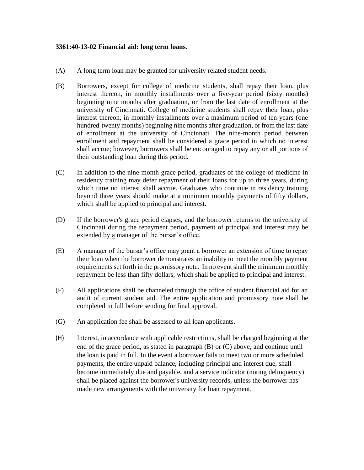## **3361:40-13-02 Financial aid: long term loans.**

- (A) A long term loan may be granted for university related student needs.
- (B) Borrowers, except for college of medicine students, shall repay their loan, plus interest thereon, in monthly installments over a five-year period (sixty months) beginning nine months after graduation, or from the last date of enrollment at the university of Cincinnati. College of medicine students shall repay their loan, plus interest thereon, in monthly installments over a maximum period of ten years (one hundred-twenty months) beginning nine months after graduation, or from the last date of enrollment at the university of Cincinnati. The nine-month period between enrollment and repayment shall be considered a grace period in which no interest shall accrue; however, borrowers shall be encouraged to repay any or all portions of their outstanding loan during this period.
- (C) In addition to the nine-month grace period, graduates of the college of medicine in residency training may defer repayment of their loans for up to three years, during which time no interest shall accrue. Graduates who continue in residency training beyond three years should make at a minimum monthly payments of fifty dollars, which shall be applied to principal and interest.
- (D) If the borrower's grace period elapses, and the borrower returns to the university of Cincinnati during the repayment period, payment of principal and interest may be extended by a manager of the bursar's office.
- (E) A manager of the bursar's office may grant a borrower an extension of time to repay their loan when the borrower demonstrates an inability to meet the monthly payment requirements set forth in the promissory note. In no event shall the minimum monthly repayment be less than fifty dollars, which shall be applied to principal and interest.
- (F) All applications shall be channeled through the office of student financial aid for an audit of current student aid. The entire application and promissory note shall be completed in full before sending for final approval.
- (G) An application fee shall be assessed to all loan applicants.
- (H) Interest, in accordance with applicable restrictions, shall be charged beginning at the end of the grace period, as stated in paragraph (B) or (C) above, and continue until the loan is paid in full. In the event a borrower fails to meet two or more scheduled payments, the entire unpaid balance, including principal and interest due, shall become immediately due and payable, and a service indicator (noting delinquency) shall be placed against the borrower's university records, unless the borrower has made new arrangements with the university for loan repayment.